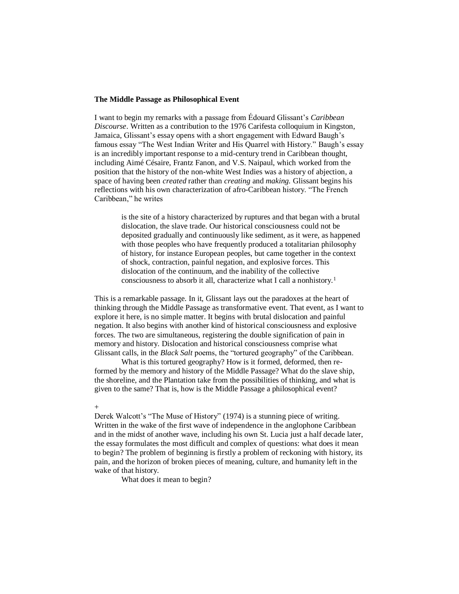## **The Middle Passage as Philosophical Event**

I want to begin my remarks with a passage from Édouard Glissant's *Caribbean Discourse*. Written as a contribution to the 1976 Carifesta colloquium in Kingston, Jamaica, Glissant's essay opens with a short engagement with Edward Baugh's famous essay "The West Indian Writer and His Quarrel with History." Baugh's essay is an incredibly important response to a mid-century trend in Caribbean thought, including Aimé Césaire, Frantz Fanon, and V.S. Naipaul, which worked from the position that the history of the non-white West Indies was a history of abjection, a space of having been *created* rather than *creating* and *making.* Glissant begins his reflections with his own characterization of afro-Caribbean history. "The French Caribbean," he writes

is the site of a history characterized by ruptures and that began with a brutal dislocation, the slave trade. Our historical consciousness could not be deposited gradually and continuously like sediment, as it were, as happened with those peoples who have frequently produced a totalitarian philosophy of history, for instance European peoples, but came together in the context of shock, contraction, painful negation, and explosive forces. This dislocation of the continuum, and the inability of the collective consciousness to absorb it all, characterize what I call a nonhistory.<sup>1</sup>

This is a remarkable passage. In it, Glissant lays out the paradoxes at the heart of thinking through the Middle Passage as transformative event. That event, as I want to explore it here, is no simple matter. It begins with brutal dislocation and painful negation. It also begins with another kind of historical consciousness and explosive forces. The two are simultaneous, registering the double signification of pain in memory and history. Dislocation and historical consciousness comprise what Glissant calls, in the *Black Salt* poems, the "tortured geography" of the Caribbean.

What is this tortured geography? How is it formed, deformed, then reformed by the memory and history of the Middle Passage? What do the slave ship, the shoreline, and the Plantation take from the possibilities of thinking, and what is given to the same? That is, how is the Middle Passage a philosophical event?

## +

Derek Walcott's "The Muse of History" (1974) is a stunning piece of writing. Written in the wake of the first wave of independence in the anglophone Caribbean and in the midst of another wave, including his own St. Lucia just a half decade later, the essay formulates the most difficult and complex of questions: what does it mean to begin? The problem of beginning is firstly a problem of reckoning with history, its pain, and the horizon of broken pieces of meaning, culture, and humanity left in the wake of that history.

What does it mean to begin?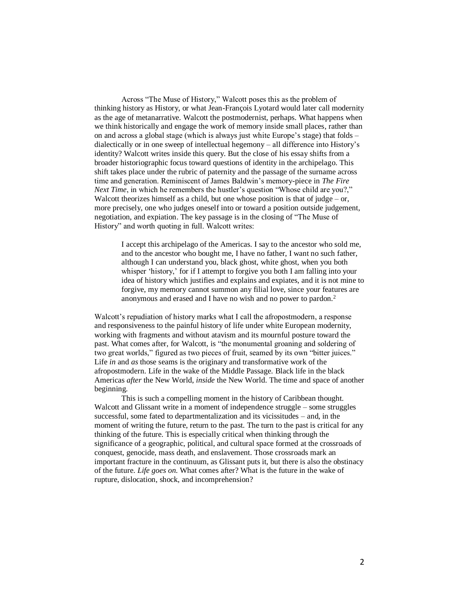Across "The Muse of History," Walcott poses this as the problem of thinking history as History, or what Jean-François Lyotard would later call modernity as the age of metanarrative. Walcott the postmodernist, perhaps. What happens when we think historically and engage the work of memory inside small places, rather than on and across a global stage (which is always just white Europe's stage) that folds – dialectically or in one sweep of intellectual hegemony – all difference into History's identity? Walcott writes inside this query. But the close of his essay shifts from a broader historiographic focus toward questions of identity in the archipelago. This shift takes place under the rubric of paternity and the passage of the surname across time and generation. Reminiscent of James Baldwin's memory-piece in *The Fire Next Time*, in which he remembers the hustler's question "Whose child are you?," Walcott theorizes himself as a child, but one whose position is that of judge – or, more precisely, one who judges oneself into or toward a position outside judgement, negotiation, and expiation. The key passage is in the closing of "The Muse of History" and worth quoting in full. Walcott writes:

I accept this archipelago of the Americas. I say to the ancestor who sold me, and to the ancestor who bought me, I have no father, I want no such father, although I can understand you, black ghost, white ghost, when you both whisper 'history,' for if I attempt to forgive you both I am falling into your idea of history which justifies and explains and expiates, and it is not mine to forgive, my memory cannot summon any filial love, since your features are anonymous and erased and I have no wish and no power to pardon.<sup>2</sup>

Walcott's repudiation of history marks what I call the afropostmodern, a response and responsiveness to the painful history of life under white European modernity, working with fragments and without atavism and its mournful posture toward the past. What comes after, for Walcott, is "the monumental groaning and soldering of two great worlds," figured as two pieces of fruit, seamed by its own "bitter juices." Life *in* and *as* those seams is the originary and transformative work of the afropostmodern. Life in the wake of the Middle Passage. Black life in the black Americas *after* the New World, *inside* the New World. The time and space of another beginning.

This is such a compelling moment in the history of Caribbean thought. Walcott and Glissant write in a moment of independence struggle – some struggles successful, some fated to departmentalization and its vicissitudes – and, in the moment of writing the future, return to the past. The turn to the past is critical for any thinking of the future. This is especially critical when thinking through the significance of a geographic, political, and cultural space formed at the crossroads of conquest, genocide, mass death, and enslavement. Those crossroads mark an important fracture in the continuum, as Glissant puts it, but there is also the obstinacy of the future. *Life goes on*. What comes after? What is the future in the wake of rupture, dislocation, shock, and incomprehension?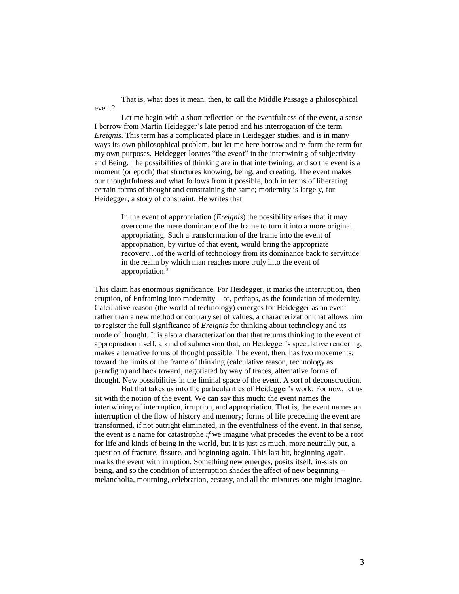That is, what does it mean, then, to call the Middle Passage a philosophical event?

Let me begin with a short reflection on the eventfulness of the event, a sense I borrow from Martin Heidegger's late period and his interrogation of the term *Ereignis*. This term has a complicated place in Heidegger studies, and is in many ways its own philosophical problem, but let me here borrow and re-form the term for my own purposes. Heidegger locates "the event" in the intertwining of subjectivity and Being. The possibilities of thinking are in that intertwining, and so the event is a moment (or epoch) that structures knowing, being, and creating. The event makes our thoughtfulness and what follows from it possible, both in terms of liberating certain forms of thought and constraining the same; modernity is largely, for Heidegger, a story of constraint. He writes that

In the event of appropriation (*Ereignis*) the possibility arises that it may overcome the mere dominance of the frame to turn it into a more original appropriating. Such a transformation of the frame into the event of appropriation, by virtue of that event, would bring the appropriate recovery…of the world of technology from its dominance back to servitude in the realm by which man reaches more truly into the event of appropriation.<sup>3</sup>

This claim has enormous significance. For Heidegger, it marks the interruption, then eruption, of Enframing into modernity – or, perhaps, as the foundation of modernity. Calculative reason (the world of technology) emerges for Heidegger as an event rather than a new method or contrary set of values, a characterization that allows him to register the full significance of *Ereignis* for thinking about technology and its mode of thought. It is also a characterization that that returns thinking to the event of appropriation itself, a kind of submersion that, on Heidegger's speculative rendering, makes alternative forms of thought possible. The event, then, has two movements: toward the limits of the frame of thinking (calculative reason, technology as paradigm) and back toward, negotiated by way of traces, alternative forms of thought. New possibilities in the liminal space of the event. A sort of deconstruction.

But that takes us into the particularities of Heidegger's work. For now, let us sit with the notion of the event. We can say this much: the event names the intertwining of interruption, irruption, and appropriation. That is, the event names an interruption of the flow of history and memory; forms of life preceding the event are transformed, if not outright eliminated, in the eventfulness of the event. In that sense, the event is a name for catastrophe *if* we imagine what precedes the event to be a root for life and kinds of being in the world, but it is just as much, more neutrally put, a question of fracture, fissure, and beginning again. This last bit, beginning again, marks the event with irruption. Something new emerges, posits itself, in-sists on being, and so the condition of interruption shades the affect of new beginning – melancholia, mourning, celebration, ecstasy, and all the mixtures one might imagine.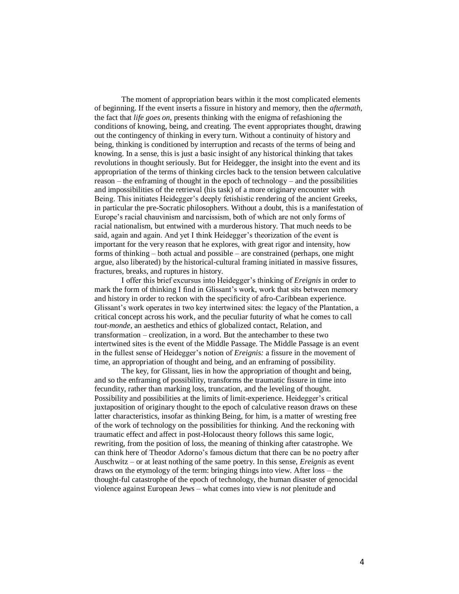The moment of appropriation bears within it the most complicated elements of beginning. If the event inserts a fissure in history and memory, then the *aftermath*, the fact that *life goes on*, presents thinking with the enigma of refashioning the conditions of knowing, being, and creating. The event appropriates thought, drawing out the contingency of thinking in every turn. Without a continuity of history and being, thinking is conditioned by interruption and recasts of the terms of being and knowing. In a sense, this is just a basic insight of any historical thinking that takes revolutions in thought seriously. But for Heidegger, the insight into the event and its appropriation of the terms of thinking circles back to the tension between calculative reason – the enframing of thought in the epoch of technology – and the possibilities and impossibilities of the retrieval (his task) of a more originary encounter with Being. This initiates Heidegger's deeply fetishistic rendering of the ancient Greeks, in particular the pre-Socratic philosophers. Without a doubt, this is a manifestation of Europe's racial chauvinism and narcissism, both of which are not only forms of racial nationalism, but entwined with a murderous history. That much needs to be said, again and again. And yet I think Heidegger's theorization of the event is important for the very reason that he explores, with great rigor and intensity, how forms of thinking – both actual and possible – are constrained (perhaps, one might argue, also liberated) by the historical-cultural framing initiated in massive fissures, fractures, breaks, and ruptures in history.

I offer this brief excursus into Heidegger's thinking of *Ereignis* in order to mark the form of thinking I find in Glissant's work, work that sits between memory and history in order to reckon with the specificity of afro-Caribbean experience. Glissant's work operates in two key intertwined sites: the legacy of the Plantation, a critical concept across his work, and the peculiar futurity of what he comes to call *tout-monde*, an aesthetics and ethics of globalized contact, Relation, and transformation – creolization, in a word. But the antechamber to these two intertwined sites is the event of the Middle Passage. The Middle Passage is an event in the fullest sense of Heidegger's notion of *Ereignis:* a fissure in the movement of time, an appropriation of thought and being, and an enframing of possibility.

The key, for Glissant, lies in how the appropriation of thought and being, and so the enframing of possibility, transforms the traumatic fissure in time into fecundity, rather than marking loss, truncation, and the leveling of thought. Possibility and possibilities at the limits of limit-experience. Heidegger's critical juxtaposition of originary thought to the epoch of calculative reason draws on these latter characteristics, insofar as thinking Being, for him, is a matter of wresting free of the work of technology on the possibilities for thinking. And the reckoning with traumatic effect and affect in post-Holocaust theory follows this same logic, rewriting, from the position of loss, the meaning of thinking after catastrophe. We can think here of Theodor Adorno's famous dictum that there can be no poetry after Auschwitz – or at least nothing of the same poetry. In this sense, *Ereignis* as event draws on the etymology of the term: bringing things into view. After loss – the thought-ful catastrophe of the epoch of technology, the human disaster of genocidal violence against European Jews – what comes into view is *not* plenitude and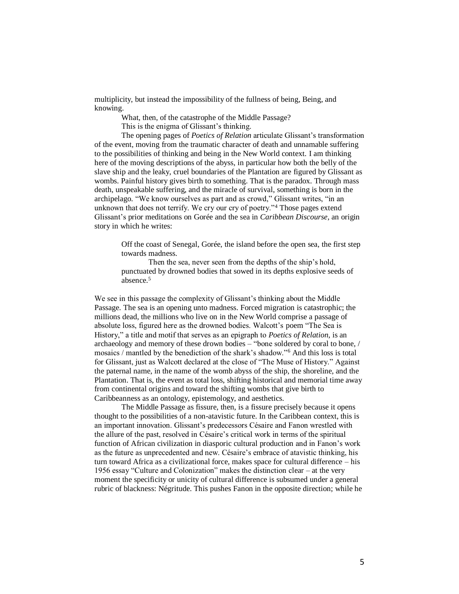multiplicity, but instead the impossibility of the fullness of being, Being, and knowing.

What, then, of the catastrophe of the Middle Passage?

This is the enigma of Glissant's thinking.

The opening pages of *Poetics of Relation* articulate Glissant's transformation of the event, moving from the traumatic character of death and unnamable suffering to the possibilities of thinking and being in the New World context. I am thinking here of the moving descriptions of the abyss, in particular how both the belly of the slave ship and the leaky, cruel boundaries of the Plantation are figured by Glissant as wombs. Painful history gives birth to something. That is the paradox. Through mass death, unspeakable suffering, and the miracle of survival, something is born in the archipelago. "We know ourselves as part and as crowd," Glissant writes, "in an unknown that does not terrify. We cry our cry of poetry."<sup>4</sup> Those pages extend Glissant's prior meditations on Gorée and the sea in *Caribbean Discourse,* an origin story in which he writes:

Off the coast of Senegal, Gorée, the island before the open sea, the first step towards madness.

Then the sea, never seen from the depths of the ship's hold, punctuated by drowned bodies that sowed in its depths explosive seeds of absence.<sup>5</sup>

We see in this passage the complexity of Glissant's thinking about the Middle Passage. The sea is an opening unto madness. Forced migration is catastrophic; the millions dead, the millions who live on in the New World comprise a passage of absolute loss, figured here as the drowned bodies. Walcott's poem "The Sea is History," a title and motif that serves as an epigraph to *Poetics of Relation*, is an archaeology and memory of these drown bodies – "bone soldered by coral to bone, / mosaics / mantled by the benediction of the shark's shadow."<sup>6</sup> And this loss is total for Glissant, just as Walcott declared at the close of "The Muse of History." Against the paternal name, in the name of the womb abyss of the ship, the shoreline, and the Plantation. That is, the event as total loss, shifting historical and memorial time away from continental origins and toward the shifting wombs that give birth to Caribbeanness as an ontology, epistemology, and aesthetics.

The Middle Passage as fissure, then, is a fissure precisely because it opens thought to the possibilities of a non-atavistic future. In the Caribbean context, this is an important innovation. Glissant's predecessors Césaire and Fanon wrestled with the allure of the past, resolved in Césaire's critical work in terms of the spiritual function of African civilization in diasporic cultural production and in Fanon's work as the future as unprecedented and new. Césaire's embrace of atavistic thinking, his turn toward Africa as a civilizational force, makes space for cultural difference – his 1956 essay "Culture and Colonization" makes the distinction clear – at the very moment the specificity or unicity of cultural difference is subsumed under a general rubric of blackness: Négritude. This pushes Fanon in the opposite direction; while he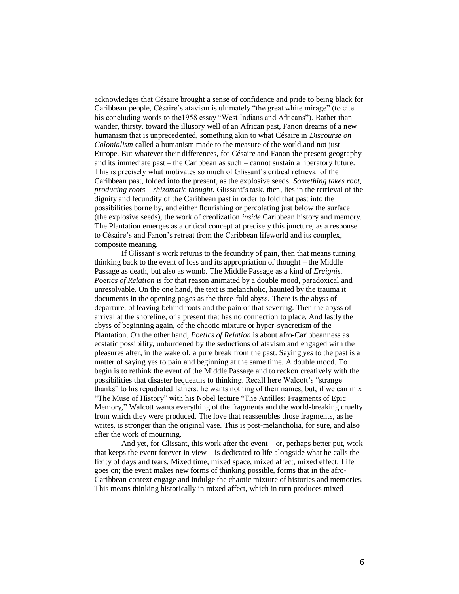acknowledges that Césaire brought a sense of confidence and pride to being black for Caribbean people, Césaire's atavism is ultimately "the great white mirage" (to cite his concluding words to the1958 essay "West Indians and Africans"). Rather than wander, thirsty, toward the illusory well of an African past, Fanon dreams of a new humanism that is unprecedented, something akin to what Césaire in *Discourse on Colonialism* called a humanism made to the measure of the world,and not just Europe. But whatever their differences, for Césaire and Fanon the present geography and its immediate past – the Caribbean as such – cannot sustain a liberatory future. This is precisely what motivates so much of Glissant's critical retrieval of the Caribbean past, folded into the present, as the explosive seeds. *Something takes root, producing roots – rhizomatic thought.* Glissant's task, then, lies in the retrieval of the dignity and fecundity of the Caribbean past in order to fold that past into the possibilities borne by, and either flourishing or percolating just below the surface (the explosive seeds), the work of creolization *inside* Caribbean history and memory. The Plantation emerges as a critical concept at precisely this juncture, as a response to Césaire's and Fanon's retreat from the Caribbean lifeworld and its complex, composite meaning.

If Glissant's work returns to the fecundity of pain, then that means turning thinking back to the event of loss and its appropriation of thought – the Middle Passage as death, but also as womb. The Middle Passage as a kind of *Ereignis. Poetics of Relation* is for that reason animated by a double mood, paradoxical and unresolvable. On the one hand, the text is melancholic, haunted by the trauma it documents in the opening pages as the three-fold abyss. There is the abyss of departure, of leaving behind roots and the pain of that severing. Then the abyss of arrival at the shoreline, of a present that has no connection to place. And lastly the abyss of beginning again, of the chaotic mixture or hyper-syncretism of the Plantation. On the other hand, *Poetics of Relation* is about afro-Caribbeanness as ecstatic possibility, unburdened by the seductions of atavism and engaged with the pleasures after, in the wake of, a pure break from the past. Saying *yes* to the past is a matter of saying yes to pain and beginning at the same time. A double mood. To begin is to rethink the event of the Middle Passage and to reckon creatively with the possibilities that disaster bequeaths to thinking. Recall here Walcott's "strange thanks" to his repudiated fathers: he wants nothing of their names, but, if we can mix "The Muse of History" with his Nobel lecture "The Antilles: Fragments of Epic Memory," Walcott wants everything of the fragments and the world-breaking cruelty from which they were produced. The love that reassembles those fragments, as he writes, is stronger than the original vase. This is post-melancholia, for sure, and also after the work of mourning.

And yet, for Glissant, this work after the event – or, perhaps better put, work that keeps the event forever in view – is dedicated to life alongside what he calls the fixity of days and tears. Mixed time, mixed space, mixed affect, mixed effect. Life goes on; the event makes new forms of thinking possible, forms that in the afro-Caribbean context engage and indulge the chaotic mixture of histories and memories. This means thinking historically in mixed affect, which in turn produces mixed